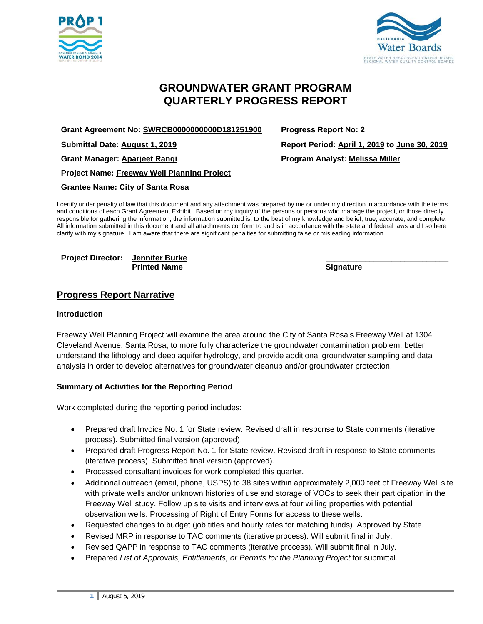



# **GROUNDWATER GRANT PROGRAM QUARTERLY PROGRESS REPORT**

**Grant Agreement No: SWRCB0000000000D181251900 Progress Report No: 2** 

**Grant Manager: Aparjeet Rangi Program Analyst: Melissa Miller** 

**Project Name: Freeway Well Planning Project** 

**Grantee Name: City of Santa Rosa** 

I certify under penalty of law that this document and any attachment was prepared by me or under my direction in accordance with the terms and conditions of each Grant Agreement Exhibit. Based on my inquiry of the persons or persons who manage the project, or those directly responsible for gathering the information, the information submitted is, to the best of my knowledge and belief, true, accurate, and complete. All information submitted in this document and all attachments conform to and is in accordance with the state and federal laws and I so here clarify with my signature. I am aware that there are significant penalties for submitting false or misleading information.

Project Director: Jennifer Burke **Printed Name Signature 3 Accord 2 Accord 2 Accord 2 Accord 2 Accord 2 Accord 2 Accord 2 Accord 2 Accord 2 Accord 2 Accord 2 Accord 2 Accord 2 Accord 2 Accord 2 Accord 2 Accord 2 Accord 2 Accord 2 Accord 2 Accord 2 Accord** 

## **Progress Report Narrative**

#### **Introduction**

Freeway Well Planning Project will examine the area around the City of Santa Rosa's Freeway Well at 1304 Cleveland Avenue, Santa Rosa, to more fully characterize the groundwater contamination problem, better understand the lithology and deep aquifer hydrology, and provide additional groundwater sampling and data analysis in order to develop alternatives for groundwater cleanup and/or groundwater protection.

#### **Summary of Activities for the Reporting Period**

Work completed during the reporting period includes:

- Prepared draft Invoice No. 1 for State review. Revised draft in response to State comments (iterative process). Submitted final version (approved).
- Prepared draft Progress Report No. 1 for State review. Revised draft in response to State comments (iterative process). Submitted final version (approved).
- Processed consultant invoices for work completed this quarter.
- Additional outreach (email, phone, USPS) to 38 sites within approximately 2,000 feet of Freeway Well site with private wells and/or unknown histories of use and storage of VOCs to seek their participation in the Freeway Well study. Follow up site visits and interviews at four willing properties with potential observation wells. Processing of Right of Entry Forms for access to these wells.
- Requested changes to budget (job titles and hourly rates for matching funds). Approved by State.
- Revised MRP in response to TAC comments (iterative process). Will submit final in July.
- Revised QAPP in response to TAC comments (iterative process). Will submit final in July.
- Prepared *List of Approvals, Entitlements, or Permits for the Planning Project* for submittal.

**Submittal Date: August 1, 2019 Report Period: April 1, 2019 to June 30, 2019**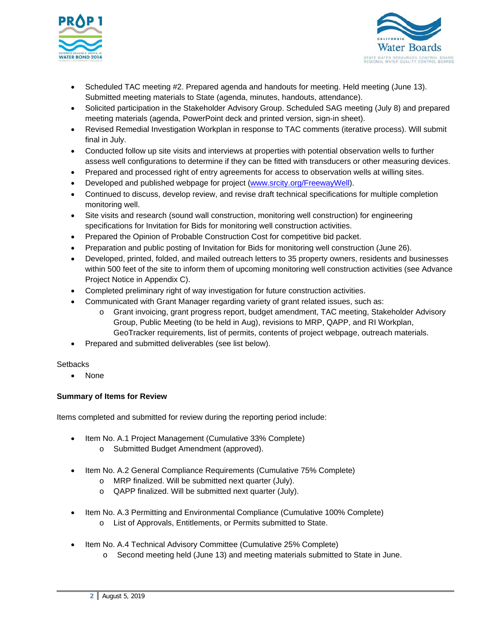



- Scheduled TAC meeting #2. Prepared agenda and handouts for meeting. Held meeting (June 13). Submitted meeting materials to State (agenda, minutes, handouts, attendance).
- Solicited participation in the Stakeholder Advisory Group. Scheduled SAG meeting (July 8) and prepared meeting materials (agenda, PowerPoint deck and printed version, sign-in sheet).
- Revised Remedial Investigation Workplan in response to TAC comments (iterative process). Will submit final in July.
- Conducted follow up site visits and interviews at properties with potential observation wells to further assess well configurations to determine if they can be fitted with transducers or other measuring devices.
- Prepared and processed right of entry agreements for access to observation wells at willing sites.
- Developed and published webpage for project (www.srcity.org/FreewayWell).
- Continued to discuss, develop review, and revise draft technical specifications for multiple completion monitoring well.
- Site visits and research (sound wall construction, monitoring well construction) for engineering specifications for Invitation for Bids for monitoring well construction activities.
- Prepared the Opinion of Probable Construction Cost for competitive bid packet.
- Preparation and public posting of Invitation for Bids for monitoring well construction (June 26).
- Developed, printed, folded, and mailed outreach letters to 35 property owners, residents and businesses within 500 feet of the site to inform them of upcoming monitoring well construction activities (see Advance Project Notice in Appendix C).
- Completed preliminary right of way investigation for future construction activities.
- Communicated with Grant Manager regarding variety of grant related issues, such as:
	- o Grant invoicing, grant progress report, budget amendment, TAC meeting, Stakeholder Advisory Group, Public Meeting (to be held in Aug), revisions to MRP, QAPP, and RI Workplan, GeoTracker requirements, list of permits, contents of project webpage, outreach materials.
- Prepared and submitted deliverables (see list below).

#### **Setbacks**

• None

## **Summary of Items for Review**

Items completed and submitted for review during the reporting period include:

- Item No. A.1 Project Management (Cumulative 33% Complete)
	- o Submitted Budget Amendment (approved).
- Item No. A.2 General Compliance Requirements (Cumulative 75% Complete)
	- o MRP finalized. Will be submitted next quarter (July).
	- o QAPP finalized. Will be submitted next quarter (July).
- Item No. A.3 Permitting and Environmental Compliance (Cumulative 100% Complete) o List of Approvals, Entitlements, or Permits submitted to State.
	-
- Item No. A.4 Technical Advisory Committee (Cumulative 25% Complete)
	- o Second meeting held (June 13) and meeting materials submitted to State in June.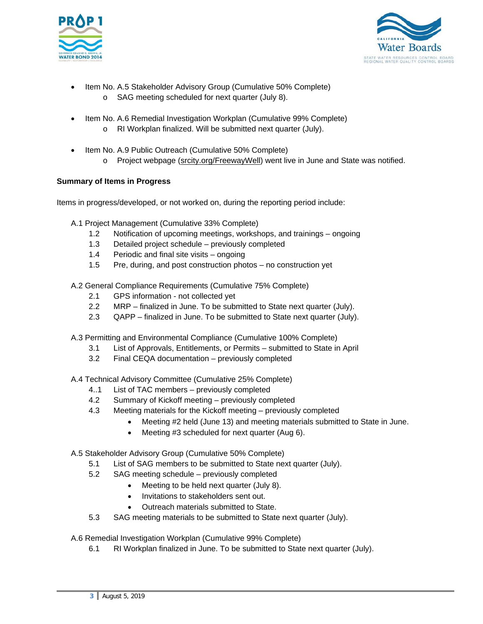



- Item No. A.5 Stakeholder Advisory Group (Cumulative 50% Complete)
	- o SAG meeting scheduled for next quarter (July 8).
- Item No. A.6 Remedial Investigation Workplan (Cumulative 99% Complete)
	- o RI Workplan finalized. Will be submitted next quarter (July).
- Item No. A.9 Public Outreach (Cumulative 50% Complete)
	- o Project webpage (srcity.org/FreewayWell) went live in June and State was notified.

## **Summary of Items in Progress**

Items in progress/developed, or not worked on, during the reporting period include:

- A.1 Project Management (Cumulative 33% Complete)
	- 1.2 Notification of upcoming meetings, workshops, and trainings ongoing
	- 1.3 Detailed project schedule previously completed
	- 1.4 Periodic and final site visits ongoing
	- 1.5 Pre, during, and post construction photos no construction yet

A.2 General Compliance Requirements (Cumulative 75% Complete)

- 2.1 GPS information not collected yet
- 2.2 MRP finalized in June. To be submitted to State next quarter (July).
- 2.3 QAPP finalized in June. To be submitted to State next quarter (July).
- A.3 Permitting and Environmental Compliance (Cumulative 100% Complete)
	- 3.1 List of Approvals, Entitlements, or Permits submitted to State in April
	- 3.2 Final CEQA documentation previously completed

A.4 Technical Advisory Committee (Cumulative 25% Complete)

- 4..1 List of TAC members previously completed
- 4.2 Summary of Kickoff meeting previously completed
- 4.3 Meeting materials for the Kickoff meeting previously completed
	- Meeting #2 held (June 13) and meeting materials submitted to State in June.
	- Meeting #3 scheduled for next quarter (Aug 6).

#### A.5 Stakeholder Advisory Group (Cumulative 50% Complete)

- 5.1 List of SAG members to be submitted to State next quarter (July).
- 5.2 SAG meeting schedule previously completed
	- Meeting to be held next quarter (July 8).
	- Invitations to stakeholders sent out.
	- Outreach materials submitted to State.
- 5.3 SAG meeting materials to be submitted to State next quarter (July).

A.6 Remedial Investigation Workplan (Cumulative 99% Complete)

6.1 RI Workplan finalized in June. To be submitted to State next quarter (July).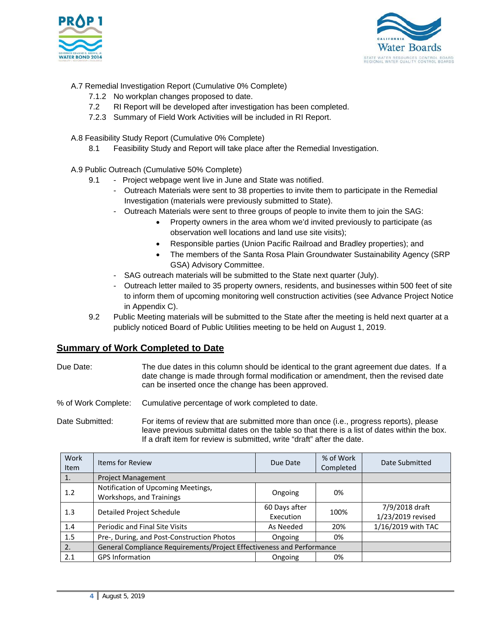



- A.7 Remedial Investigation Report (Cumulative 0% Complete)
	- 7.1.2 No workplan changes proposed to date.
	- 7.2 RI Report will be developed after investigation has been completed.
	- 7.2.3 Summary of Field Work Activities will be included in RI Report.
- A.8 Feasibility Study Report (Cumulative 0% Complete)
	- 8.1 Feasibility Study and Report will take place after the Remedial Investigation.
- A.9 Public Outreach (Cumulative 50% Complete)
	- 9.1 Project webpage went live in June and State was notified.
		- Outreach Materials were sent to 38 properties to invite them to participate in the Remedial Investigation (materials were previously submitted to State).
		- Outreach Materials were sent to three groups of people to invite them to join the SAG:
			- Property owners in the area whom we'd invited previously to participate (as observation well locations and land use site visits);
			- Responsible parties (Union Pacific Railroad and Bradley properties); and
			- The members of the Santa Rosa Plain Groundwater Sustainability Agency (SRP GSA) Advisory Committee.
		- SAG outreach materials will be submitted to the State next quarter (July).
		- Outreach letter mailed to 35 property owners, residents, and businesses within 500 feet of site to inform them of upcoming monitoring well construction activities (see Advance Project Notice in Appendix C).
	- 9.2 Public Meeting materials will be submitted to the State after the meeting is held next quarter at a publicly noticed Board of Public Utilities meeting to be held on August 1, 2019.

## **Summary of Work Completed to Date**

Due Date: The due dates in this column should be identical to the grant agreement due dates. If a date change is made through formal modification or amendment, then the revised date can be inserted once the change has been approved.

% of Work Complete: Cumulative percentage of work completed to date.

Date Submitted: For items of review that are submitted more than once (i.e., progress reports), please leave previous submittal dates on the table so that there is a list of dates within the box. If a draft item for review is submitted, write "draft" after the date.

| Work<br><b>Item</b> | <b>Items for Review</b>                                               | Due Date                   | % of Work<br>Completed | Date Submitted                      |
|---------------------|-----------------------------------------------------------------------|----------------------------|------------------------|-------------------------------------|
| 1.                  | <b>Project Management</b>                                             |                            |                        |                                     |
| 1.2                 | Notification of Upcoming Meetings,<br>Workshops, and Trainings        | Ongoing                    | 0%                     |                                     |
| 1.3                 | <b>Detailed Project Schedule</b>                                      | 60 Days after<br>Execution | 100%                   | 7/9/2018 draft<br>1/23/2019 revised |
| 1.4                 | Periodic and Final Site Visits                                        | As Needed                  | 20%                    | 1/16/2019 with TAC                  |
| 1.5                 | Pre-, During, and Post-Construction Photos                            | Ongoing                    | 0%                     |                                     |
| 2.7                 | General Compliance Requirements/Project Effectiveness and Performance |                            |                        |                                     |
| 2.1                 | <b>GPS Information</b>                                                | Ongoing                    | 0%                     |                                     |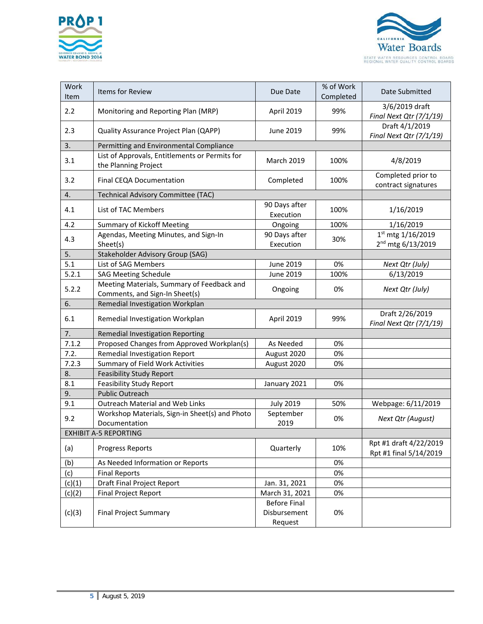



| Work<br>Item                 | Items for Review                                                             | Due Date                                       | % of Work<br>Completed | Date Submitted                                     |
|------------------------------|------------------------------------------------------------------------------|------------------------------------------------|------------------------|----------------------------------------------------|
| 2.2                          | Monitoring and Reporting Plan (MRP)                                          | April 2019                                     | 99%                    | 3/6/2019 draft<br>Final Next Qtr (7/1/19)          |
| 2.3                          | Quality Assurance Project Plan (QAPP)                                        | June 2019                                      | 99%                    | Draft 4/1/2019<br>Final Next Qtr (7/1/19)          |
| 3.                           | Permitting and Environmental Compliance                                      |                                                |                        |                                                    |
| 3.1                          | List of Approvals, Entitlements or Permits for<br>the Planning Project       | March 2019                                     | 100%                   | 4/8/2019                                           |
| 3.2                          | Final CEQA Documentation                                                     | Completed                                      | 100%                   | Completed prior to<br>contract signatures          |
| 4.                           | Technical Advisory Committee (TAC)                                           |                                                |                        |                                                    |
| 4.1                          | List of TAC Members                                                          | 90 Days after<br>Execution                     | 100%                   | 1/16/2019                                          |
| 4.2                          | <b>Summary of Kickoff Meeting</b>                                            | Ongoing                                        | 100%                   | 1/16/2019                                          |
| 4.3                          | Agendas, Meeting Minutes, and Sign-In<br>Sheet(s)                            | 90 Days after<br>Execution                     | 30%                    | 1st mtg 1/16/2019<br>2 <sup>nd</sup> mtg 6/13/2019 |
| 5.                           | Stakeholder Advisory Group (SAG)                                             |                                                |                        |                                                    |
| 5.1                          | List of SAG Members                                                          | June 2019                                      | 0%                     | Next Qtr (July)                                    |
| 5.2.1                        | <b>SAG Meeting Schedule</b>                                                  | June 2019                                      | 100%                   | 6/13/2019                                          |
| 5.2.2                        | Meeting Materials, Summary of Feedback and<br>Comments, and Sign-In Sheet(s) | Ongoing                                        | 0%                     | Next Qtr (July)                                    |
| 6.                           | Remedial Investigation Workplan                                              |                                                |                        |                                                    |
| 6.1                          | Remedial Investigation Workplan                                              | April 2019                                     | 99%                    | Draft 2/26/2019<br>Final Next Qtr (7/1/19)         |
| 7.                           | Remedial Investigation Reporting                                             |                                                |                        |                                                    |
| 7.1.2                        | Proposed Changes from Approved Workplan(s)                                   | As Needed                                      | 0%                     |                                                    |
| 7.2.                         | Remedial Investigation Report                                                | August 2020                                    | 0%                     |                                                    |
| 7.2.3                        | Summary of Field Work Activities                                             | August 2020                                    | 0%                     |                                                    |
| 8.                           | <b>Feasibility Study Report</b>                                              |                                                |                        |                                                    |
| 8.1                          | <b>Feasibility Study Report</b>                                              | January 2021                                   | 0%                     |                                                    |
| 9.                           | <b>Public Outreach</b>                                                       |                                                |                        |                                                    |
| 9.1                          | Outreach Material and Web Links                                              | <b>July 2019</b>                               | 50%                    | Webpage: 6/11/2019                                 |
| 9.2                          | Workshop Materials, Sign-in Sheet(s) and Photo<br>Documentation              | September<br>2019                              | 0%                     | Next Qtr (August)                                  |
| <b>EXHIBIT A-5 REPORTING</b> |                                                                              |                                                |                        |                                                    |
| (a)                          | <b>Progress Reports</b>                                                      | Quarterly                                      | 10%                    | Rpt #1 draft 4/22/2019<br>Rpt #1 final 5/14/2019   |
| (b)                          | As Needed Information or Reports                                             |                                                | 0%                     |                                                    |
| (c)                          | <b>Final Reports</b>                                                         |                                                | 0%                     |                                                    |
| (c)(1)                       | Draft Final Project Report                                                   | Jan. 31, 2021                                  | 0%                     |                                                    |
| (c)(2)                       | <b>Final Project Report</b>                                                  | March 31, 2021                                 | 0%                     |                                                    |
| (c)(3)                       | <b>Final Project Summary</b>                                                 | <b>Before Final</b><br>Disbursement<br>Request | 0%                     |                                                    |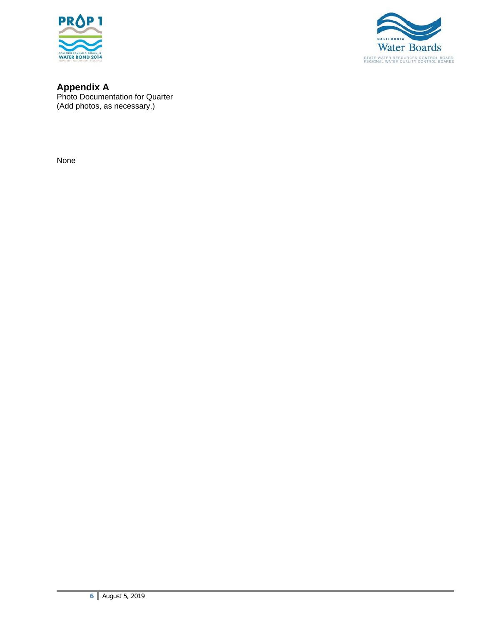



**Appendix A**  Photo Documentation for Quarter (Add photos, as necessary.)

None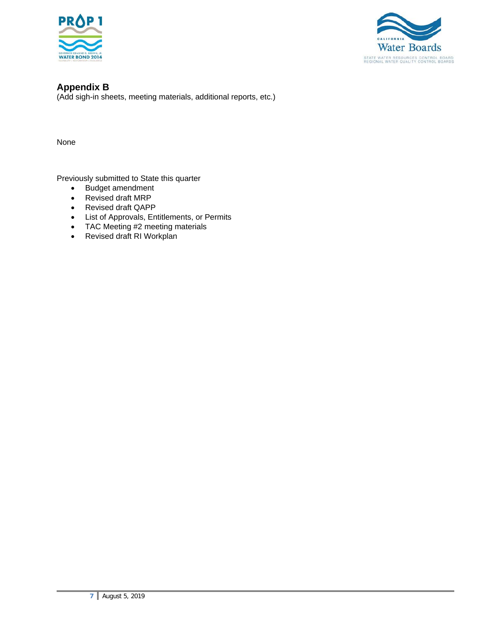



**Appendix B**  (Add sigh-in sheets, meeting materials, additional reports, etc.)

None

Previously submitted to State this quarter

- Budget amendment
- Revised draft MRP
- Revised draft QAPP
- List of Approvals, Entitlements, or Permits
- TAC Meeting #2 meeting materials
- Revised draft RI Workplan